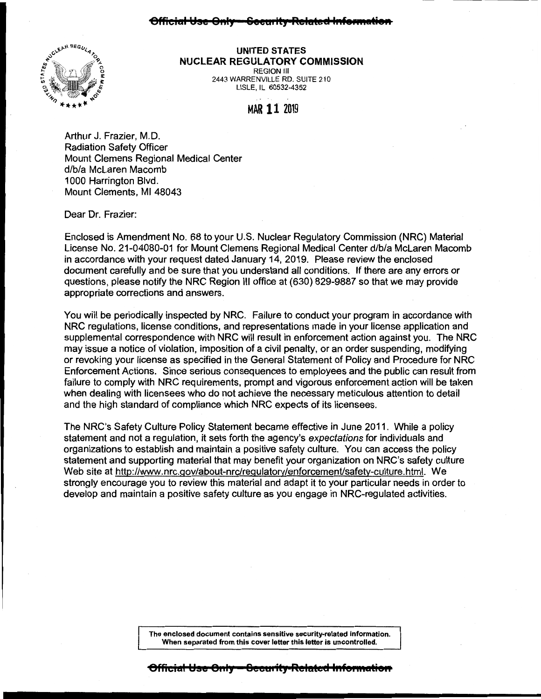## **Official Yse 011IJ 8eeU1 ity Relrsteet 1 .. te•Matie,a**



## **UNITED STATES NUCLEAR REGULATORY COMMISSION**  REGION Ill

2443 WARRENVILLE RO. SUITE 210 LISLE, IL 60532-4352

MAR 11 <sup>2019</sup>

Arthur J. Frazier, M.D. Radiation Safety Officer Mount Clemens Regional Medical Center d/b/a McLaren Macomb 1000 Harrington Blvd. Mount Clements, Ml 48043

Dear Dr. Frazier:

Enclosed is Amendment No. 68 to your U.S. Nuclear Regulatory Commission (NRC) Material License No. 21-04080-01 for Mount Clemens Regional Medical Center d/b/a McLaren Macomb in accordance with your request dated January 14, 2019. Please review the enclosed document carefully and be sure that you understand all conditions. If there are any errors or questions, please notify the NRC Region Ill office at (630) 829-9887 so that we may provide appropriate corrections and answers.

You will be periodically inspected by NRC. Failure to conduct your program in accordance with NRC regulations, license conditions, and representations made in your license application and supplemental correspondence with NRC will result in enforcement action against you. The NRC may issue a notice of violation, imposition of a civil penalty, or an order suspending, modifying or revoking your license as specified in the General Statement of Policy and Procedure for NRC Enforcement Actions. Since serious consequences to employees and the public can result from failure to comply with NRC requirements, prompt and vigorous enforcement action will be taken when dealing with licensees who do not achieve the necessary meticulous attention to detail and the high standard of compliance which NRC expects of its licensees.

The NRC's Safety Culture Policy Statement became effective in June 2011. While a policy statement and not a regulation, it sets forth the agency's expectations for individuals and organizations to establish and maintain a positive safety culture. You can access the policy statement and supporting material that may benefit your organization on NRC's safety culture Web site at http://www.nrc.gov/about-nrc/regulatory/enforcement/safety-culture.html. We strongly encourage you to review this material and adapt it to your particular needs in order to develop and maintain a positive safety culture as you engage in NRG-regulated activities.

> **The enclosed document contains sensitive security-related information. When separated from this cover letter this letter is uncontrolled.**